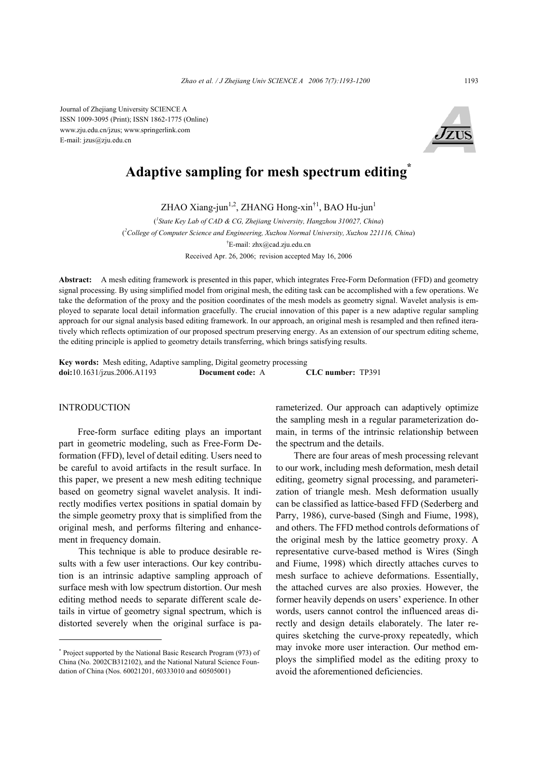Journal of Zhejiang University SCIENCE A ISSN 1009-3095 (Print); ISSN 1862-1775 (Online) www.zju.edu.cn/jzus; www.springerlink.com E-mail: jzus@zju.edu.cn



# **Adaptive sampling for mesh spectrum editing\***

ZHAO Xiang-jun<sup>1,2</sup>, ZHANG Hong-xin<sup>†1</sup>, BAO Hu-jun<sup>1</sup>

( *1 State Key Lab of CAD & CG, Zhejiang University, Hangzhou 310027, China*) ( *2 College of Computer Science and Engineering, Xuzhou Normal University, Xuzhou 221116, China*) † E-mail: zhx@cad.zju.edu.cn Received Apr. 26, 2006; revision accepted May 16, 2006

**Abstract:** A mesh editing framework is presented in this paper, which integrates Free-Form Deformation (FFD) and geometry signal processing. By using simplified model from original mesh, the editing task can be accomplished with a few operations. We take the deformation of the proxy and the position coordinates of the mesh models as geometry signal. Wavelet analysis is employed to separate local detail information gracefully. The crucial innovation of this paper is a new adaptive regular sampling approach for our signal analysis based editing framework. In our approach, an original mesh is resampled and then refined iteratively which reflects optimization of our proposed spectrum preserving energy. As an extension of our spectrum editing scheme, the editing principle is applied to geometry details transferring, which brings satisfying results.

**Key words:** Mesh editing, Adaptive sampling, Digital geometry processing **doi:**10.1631/jzus.2006.A1193 **Document code:** A **CLC number:** TP391

#### INTRODUCTION

Free-form surface editing plays an important part in geometric modeling, such as Free-Form Deformation (FFD), level of detail editing. Users need to be careful to avoid artifacts in the result surface. In this paper, we present a new mesh editing technique based on geometry signal wavelet analysis. It indirectly modifies vertex positions in spatial domain by the simple geometry proxy that is simplified from the original mesh, and performs filtering and enhancement in frequency domain.

This technique is able to produce desirable results with a few user interactions. Our key contribution is an intrinsic adaptive sampling approach of surface mesh with low spectrum distortion. Our mesh editing method needs to separate different scale details in virtue of geometry signal spectrum, which is distorted severely when the original surface is parameterized. Our approach can adaptively optimize the sampling mesh in a regular parameterization domain, in terms of the intrinsic relationship between the spectrum and the details.

There are four areas of mesh processing relevant to our work, including mesh deformation, mesh detail editing, geometry signal processing, and parameterization of triangle mesh. Mesh deformation usually can be classified as lattice-based FFD (Sederberg and Parry, 1986), curve-based (Singh and Fiume, 1998), and others. The FFD method controls deformations of the original mesh by the lattice geometry proxy. A representative curve-based method is Wires (Singh and Fiume, 1998) which directly attaches curves to mesh surface to achieve deformations. Essentially, the attached curves are also proxies. However, the former heavily depends on users' experience. In other words, users cannot control the influenced areas directly and design details elaborately. The later requires sketching the curve-proxy repeatedly, which may invoke more user interaction. Our method employs the simplified model as the editing proxy to avoid the aforementioned deficiencies.

<sup>\*</sup> Project supported by the National Basic Research Program (973) of China (No. 2002CB312102), and the National Natural Science Foundation of China (Nos. 60021201, 60333010 and 60505001)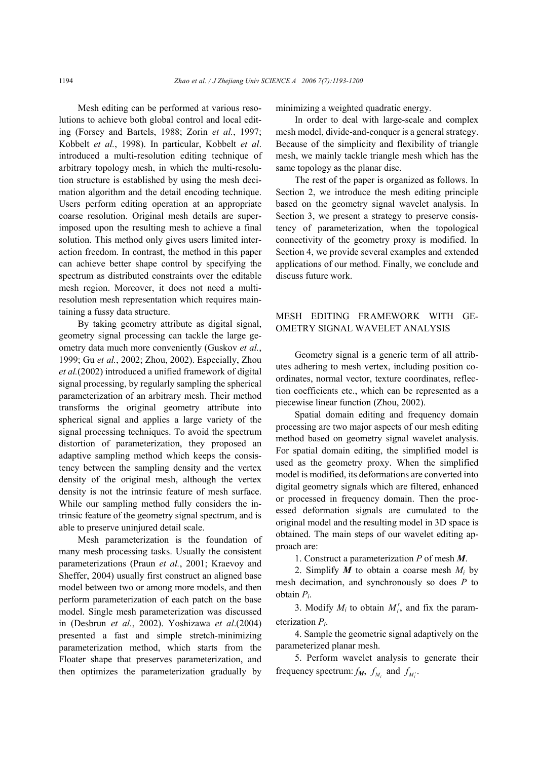Mesh editing can be performed at various resolutions to achieve both global control and local editing (Forsey and Bartels, 1988; Zorin *et al.*, 1997; Kobbelt *et al.*, 1998). In particular, Kobbelt *et al*. introduced a multi-resolution editing technique of arbitrary topology mesh, in which the multi-resolution structure is established by using the mesh decimation algorithm and the detail encoding technique. Users perform editing operation at an appropriate coarse resolution. Original mesh details are superimposed upon the resulting mesh to achieve a final solution. This method only gives users limited interaction freedom. In contrast, the method in this paper can achieve better shape control by specifying the spectrum as distributed constraints over the editable mesh region. Moreover, it does not need a multiresolution mesh representation which requires maintaining a fussy data structure.

By taking geometry attribute as digital signal, geometry signal processing can tackle the large geometry data much more conveniently (Guskov *et al.*, 1999; Gu *et al.*, 2002; Zhou, 2002). Especially, Zhou *et al.*(2002) introduced a unified framework of digital signal processing, by regularly sampling the spherical parameterization of an arbitrary mesh. Their method transforms the original geometry attribute into spherical signal and applies a large variety of the signal processing techniques. To avoid the spectrum distortion of parameterization, they proposed an adaptive sampling method which keeps the consistency between the sampling density and the vertex density of the original mesh, although the vertex density is not the intrinsic feature of mesh surface. While our sampling method fully considers the intrinsic feature of the geometry signal spectrum, and is able to preserve uninjured detail scale.

Mesh parameterization is the foundation of many mesh processing tasks. Usually the consistent parameterizations (Praun *et al.*, 2001; Kraevoy and Sheffer, 2004) usually first construct an aligned base model between two or among more models, and then perform parameterization of each patch on the base model. Single mesh parameterization was discussed in (Desbrun *et al.*, 2002). Yoshizawa *et al*.(2004) presented a fast and simple stretch-minimizing parameterization method, which starts from the Floater shape that preserves parameterization, and then optimizes the parameterization gradually by minimizing a weighted quadratic energy.

In order to deal with large-scale and complex mesh model, divide-and-conquer is a general strategy. Because of the simplicity and flexibility of triangle mesh, we mainly tackle triangle mesh which has the same topology as the planar disc.

The rest of the paper is organized as follows. In Section 2, we introduce the mesh editing principle based on the geometry signal wavelet analysis. In Section 3, we present a strategy to preserve consistency of parameterization, when the topological connectivity of the geometry proxy is modified. In Section 4, we provide several examples and extended applications of our method. Finally, we conclude and discuss future work.

## MESH EDITING FRAMEWORK WITH GE-OMETRY SIGNAL WAVELET ANALYSIS

Geometry signal is a generic term of all attributes adhering to mesh vertex, including position coordinates, normal vector, texture coordinates, reflection coefficients etc., which can be represented as a piecewise linear function (Zhou, 2002).

Spatial domain editing and frequency domain processing are two major aspects of our mesh editing method based on geometry signal wavelet analysis. For spatial domain editing, the simplified model is used as the geometry proxy. When the simplified model is modified, its deformations are converted into digital geometry signals which are filtered, enhanced or processed in frequency domain. Then the processed deformation signals are cumulated to the original model and the resulting model in 3D space is obtained. The main steps of our wavelet editing approach are:

1. Construct a parameterization *P* of mesh *M*.

2. Simplify  $M$  to obtain a coarse mesh  $M_i$  by mesh decimation, and synchronously so does *P* to obtain *Pi*.

3. Modify  $M_i$  to obtain  $M'_i$ , and fix the parameterization *Pi*.

4. Sample the geometric signal adaptively on the parameterized planar mesh.

5. Perform wavelet analysis to generate their frequency spectrum:  $f_M$ ,  $f_{M_i}$  and  $f_{M_i'}$ .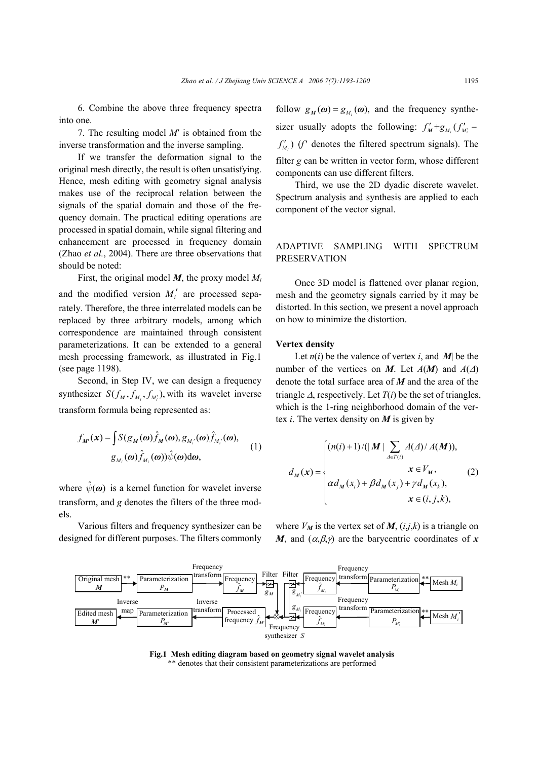6. Combine the above three frequency spectra into one.

7. The resulting model *M*′ is obtained from the inverse transformation and the inverse sampling.

If we transfer the deformation signal to the original mesh directly, the result is often unsatisfying. Hence, mesh editing with geometry signal analysis makes use of the reciprocal relation between the signals of the spatial domain and those of the frequency domain. The practical editing operations are processed in spatial domain, while signal filtering and enhancement are processed in frequency domain (Zhao *et al.*, 2004). There are three observations that should be noted:

First, the original model *M*, the proxy model *Mi* and the modified version  $M_i'$  are processed separately. Therefore, the three interrelated models can be replaced by three arbitrary models, among which correspondence are maintained through consistent parameterizations. It can be extended to a general mesh processing framework, as illustrated in Fig.1 (see page 1198).

Second, in Step IV, we can design a frequency synthesizer  $S(f_M, f_M, f_M)$ , with its wavelet inverse transform formula being represented as:

$$
f_{M'}(\mathbf{x}) = \int S(g_M(\boldsymbol{\omega}) \hat{f}_M(\boldsymbol{\omega}), g_{M_i}(\boldsymbol{\omega}) \hat{f}_{M_i}(\boldsymbol{\omega}),
$$
  
 
$$
g_{M_i}(\boldsymbol{\omega}) \hat{f}_{M_i}(\boldsymbol{\omega}) \hat{\psi}(\boldsymbol{\omega}) d\boldsymbol{\omega},
$$
 (1)

where  $\hat{\psi}(\boldsymbol{\omega})$  is a kernel function for wavelet inverse transform, and *g* denotes the filters of the three models.

Various filters and frequency synthesizer can be designed for different purposes. The filters commonly follow  $g_M(\omega) = g_M(\omega)$ , and the frequency synthesizer usually adopts the following:  $f'_{M} + g_{M_i} (f'_{M'_i} - f'_{M'_i})$  $f'_{M_i}$ ) ( $f'$  denotes the filtered spectrum signals). The filter *g* can be written in vector form, whose different components can use different filters.

Third, we use the 2D dyadic discrete wavelet. Spectrum analysis and synthesis are applied to each component of the vector signal.

## ADAPTIVE SAMPLING WITH SPECTRUM PRESERVATION

Once 3D model is flattened over planar region, mesh and the geometry signals carried by it may be distorted. In this section, we present a novel approach on how to minimize the distortion.

#### **Vertex density**

Let  $n(i)$  be the valence of vertex *i*, and  $|M|$  be the number of the vertices on *M*. Let  $A(M)$  and  $A(\Delta)$ denote the total surface area of *M* and the area of the triangle  $\Delta$ , respectively. Let  $T(i)$  be the set of triangles, which is the 1-ring neighborhood domain of the vertex *i*. The vertex density on  $M$  is given by

$$
d_{M}(x) = \begin{cases} (n(i) + 1) / (|M| \sum_{A \in T(i)} A(\Delta) / A(M)), & x \in V_{M}, & (2) \\ \alpha d_{M}(x_{i}) + \beta d_{M}(x_{j}) + \gamma d_{M}(x_{k}), & x \in (i, j, k), \end{cases}
$$

where  $V_M$  is the vertex set of  $M$ ,  $(i, j, k)$  is a triangle on *M*, and  $(\alpha, \beta, \gamma)$  are the barycentric coordinates of x

 $\overline{g}_{_{M_{i}^{\prime}}}$ Frequency **Parameterization** transform Frequency Filter Filter Frequency transform Parameterization \*\* Frequency Edited mesh and Parameterization  $\begin{bmatrix} \text{moversed} \\ \text{marg} \end{bmatrix}$  Parameterization  $\begin{bmatrix} \text{moversed} \\ \text{marg} \end{bmatrix}$  Parameterization  $\begin{bmatrix} \text{marg} \\ \text{marg} \end{bmatrix}$  Parameterization  $\begin{bmatrix} \text{marg} \\ \text{marg} \end{bmatrix}$  Parameterization  $\begin{bmatrix$ terization  $\begin{bmatrix} \text{transform} \\ \text{frequency} \end{bmatrix}$   $\begin{bmatrix} \frac{1}{2} & \frac{1}{2} \\ \frac{1}{2} & \frac{1}{2} \end{bmatrix}$   $\begin{bmatrix} S_M \\ \hat{r}_M \end{bmatrix}$  **Frequency**  $\begin{bmatrix} \text{transform} \\ \hat{r}_M \end{bmatrix}$  **Parameter** Frequency map **Parameterization Parameterization** *P<sup>M</sup>* Mesh *Mi M*′ Original mesh *M*  \*\* Inverse Frequency transform Inverse transform Frequency synthesizer *S* Filter Filter Frequency **Frequency**  $f_M$   $\begin{bmatrix} \overline{c} \\ \overline{g} \end{bmatrix}$   $\begin{bmatrix} \overline{c} \\ \overline{g} \end{bmatrix}$   $f_{M_i}$   $\begin{bmatrix} \overline{c} \\ \overline{g} \end{bmatrix}$  $\hat{f}_M$  **P**  $\stackrel{\text{per}}{g}$  **P**  $\stackrel{\text{per}}{g}$   $\hat{f}_{M_i}$  **P**  $\stackrel{\text{per}}{g}$  $\hat{f}_{_{M_i}}$ ˆ  $f_{M_i^\prime}$ <del>∤⊠</del><br>∦a Mesh M

**Fig.1 Mesh editing diagram based on geometry signal wavelet analysis**  \*\* denotes that their consistent parameterizations are performed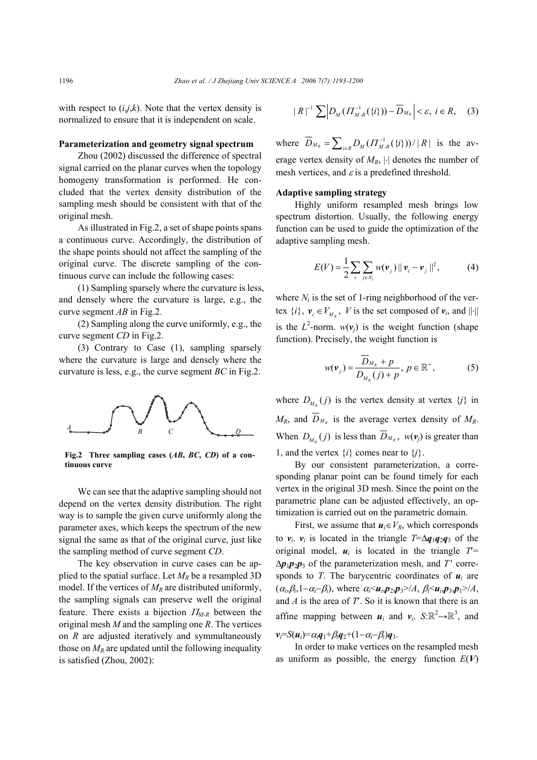with respect to  $(i,j,k)$ . Note that the vertex density is normalized to ensure that it is independent on scale.

## **Parameterization and geometry signal spectrum**

Zhou (2002) discussed the difference of spectral signal carried on the planar curves when the topology homogeny transformation is performed. He concluded that the vertex density distribution of the sampling mesh should be consistent with that of the original mesh.

As illustrated in Fig.2, a set of shape points spans a continuous curve. Accordingly, the distribution of the shape points should not affect the sampling of the original curve. The discrete sampling of the continuous curve can include the following cases:

(1) Sampling sparsely where the curvature is less, and densely where the curvature is large, e.g., the curve segment *AB* in Fig.2.

(2) Sampling along the curve uniformly, e.g., the curve segment *CD* in Fig.2.

(3) Contrary to Case (1), sampling sparsely where the curvature is large and densely where the curvature is less, e.g., the curve segment *BC* in Fig.2.



**Fig.2 Three sampling cases (***AB***,** *BC***,** *CD***) of a continuous curve**

We can see that the adaptive sampling should not depend on the vertex density distribution. The right way is to sample the given curve uniformly along the parameter axes, which keeps the spectrum of the new signal the same as that of the original curve, just like the sampling method of curve segment *CD*.

The key observation in curve cases can be applied to the spatial surface. Let  $M_R$  be a resampled 3D model. If the vertices of  $M_R$  are distributed uniformly, the sampling signals can preserve well the original feature. There exists a bijection <sup>Π</sup>*M*-*R* between the original mesh *M* and the sampling one *R*. The vertices on *R* are adjusted iteratively and symmultaneously those on  $M_R$  are updated until the following inequality is satisfied (Zhou, 2002):

$$
|R|^{-1} \sum |D_M (H_{M-R}^{-1}(\{i\})) - \overline{D}_{M_R}| < \varepsilon, \ i \in R, \quad (3)
$$

where  $\overline{D}_{M_R} = \sum_{i \in R} D_M ( \overline{H}_{M-R}^{-1}(\{i\})) / |R|$  is the average vertex density of  $M_R$ ,  $\lvert \cdot \rvert$  denotes the number of mesh vertices, and  $\varepsilon$  is a predefined threshold.

## **Adaptive sampling strategy**

Highly uniform resampled mesh brings low spectrum distortion. Usually, the following energy function can be used to guide the optimization of the adaptive sampling mesh.

$$
E(V) = \frac{1}{2} \sum_{i} \sum_{j \in N_i} w(\mathbf{v}_j) || \mathbf{v}_i - \mathbf{v}_j ||^2, \qquad (4)
$$

where  $N_i$  is the set of 1-ring neighborhood of the vertex  $\{i\}$ ,  $v_i \in V_{M_{\nu}}$ , *V* is the set composed of  $v_i$ , and  $\|\cdot\|$ is the  $L^2$ -norm.  $w(v_j)$  is the weight function (shape function). Precisely, the weight function is

$$
w(\mathbf{v}_j) = \frac{\overline{D}_{M_R} + p}{D_{M_R}(j) + p}, \ p \in \mathbb{R}^+, \tag{5}
$$

where  $D_{M_n}(j)$  is the vertex density at vertex  $\{j\}$  in  $M_R$ , and  $\overline{D}_{M_R}$  is the average vertex density of  $M_R$ . When  $D_{M_{\alpha}}(j)$  is less than  $\overline{D}_{M_R}$ ,  $w(\mathbf{v}_i)$  is greater than 1, and the vertex  $\{i\}$  comes near to  $\{i\}$ .

By our consistent parameterization, a corresponding planar point can be found timely for each vertex in the original 3D mesh. Since the point on the parametric plane can be adjusted effectively, an optimization is carried out on the parametric domain.

First, we assume that  $u_i \in V_R$ , which corresponds to  $v_i$ .  $v_i$  is located in the triangle  $T=\Delta q_1q_2q_3$  of the original model,  $u_i$  is located in the triangle  $T =$  $\Delta p_1 p_2 p_3$  of the parameterization mesh, and *T'* corresponds to *T*. The barycentric coordinates of  $u_i$  are  $(\alpha_i, \beta_i, 1-\alpha_i-\beta_i)$ , where  $\alpha_i \leq u_i, p_2, p_3 \geq /A$ ,  $\beta_i \leq u_i, p_3, p_1 \geq /A$ , and *A* is the area of *T*′. So it is known that there is an affine mapping between  $u_i$  and  $v_i$ .  $S: \mathbb{R}^2 \rightarrow \mathbb{R}^3$ , and

 $v_i = S(u_i) = \alpha_i q_1 + \beta_i q_2 + (1 - \alpha_i - \beta_i) q_3$ .

In order to make vertices on the resampled mesh as uniform as possible, the energy function  $E(V)$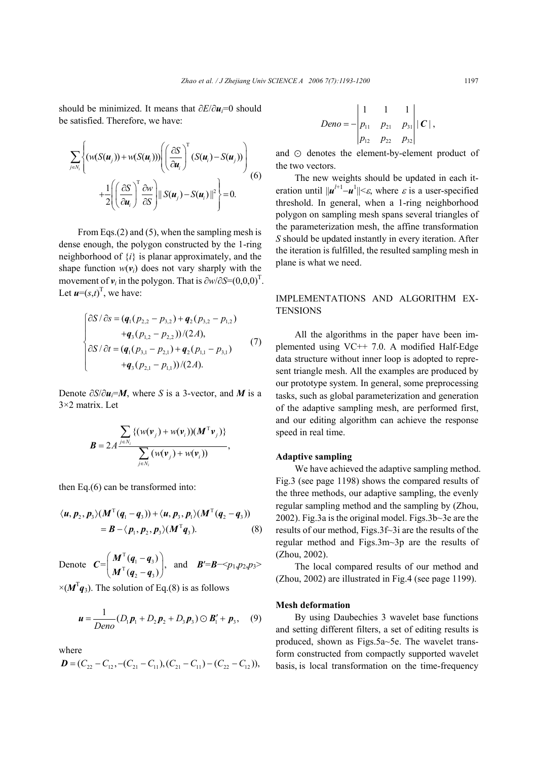should be minimized. It means that ∂*E*/∂*ui*=0 should be satisfied. Therefore, we have:

$$
\sum_{j \in N_i} \left\{ (w(S(\boldsymbol{u}_j)) + w(S(\boldsymbol{u}_i))) \left( \left( \frac{\partial S}{\partial \boldsymbol{u}_i} \right)^T (S(\boldsymbol{u}_i) - S(\boldsymbol{u}_j)) \right) + \frac{1}{2} \left( \left( \frac{\partial S}{\partial \boldsymbol{u}_i} \right)^T \frac{\partial w}{\partial S} \right) || S(\boldsymbol{u}_j) - S(\boldsymbol{u}_i) ||^2 \right\} = 0.
$$
\n
$$
(6)
$$

From Eqs.(2) and (5), when the sampling mesh is dense enough, the polygon constructed by the 1-ring neighborhood of  $\{i\}$  is planar approximately, and the shape function  $w(v_i)$  does not vary sharply with the movement of  $v_i$  in the polygon. That is  $\partial w / \partial S = (0,0,0)^T$ . Let  $\mathbf{u}=(s,t)^T$ , we have:

$$
\begin{cases}\n\frac{\partial S}{\partial s} = (\boldsymbol{q}_1(p_{2,2} - p_{3,2}) + \boldsymbol{q}_2(p_{3,2} - p_{1,2}) \\
+ \boldsymbol{q}_3(p_{1,2} - p_{2,2}))/2A), \\
\frac{\partial S}{\partial t} = (\boldsymbol{q}_1(p_{3,1} - p_{2,1}) + \boldsymbol{q}_2(p_{1,1} - p_{3,1}) \\
+ \boldsymbol{q}_3(p_{2,1} - p_{1,1}))/2A).\n\end{cases} (7)
$$

Denote ∂*S*/∂*ui*=*M*, where *S* is a 3-vector, and *M* is a 3×2 matrix. Let

$$
\mathbf{B} = 2A \frac{\sum_{j \in N_i} \{ (w(\mathbf{v}_j) + w(\mathbf{v}_i)) (\mathbf{M}^\mathrm{T} \mathbf{v}_j) \}}{\sum_{j \in N_i} (w(\mathbf{v}_j) + w(\mathbf{v}_i))},
$$

then Eq.(6) can be transformed into:

$$
\langle \boldsymbol{u}, \boldsymbol{p}_2, \boldsymbol{p}_3 \rangle (\boldsymbol{M}^{\mathrm{T}}(\boldsymbol{q}_1 - \boldsymbol{q}_3)) + \langle \boldsymbol{u}, \boldsymbol{p}_3, \boldsymbol{p}_1 \rangle (\boldsymbol{M}^{\mathrm{T}}(\boldsymbol{q}_2 - \boldsymbol{q}_3))
$$
  
=  $\boldsymbol{B} - \langle \boldsymbol{p}_1, \boldsymbol{p}_2, \boldsymbol{p}_3 \rangle (\boldsymbol{M}^{\mathrm{T}}\boldsymbol{q}_3).$  (8)

Denote  $T({\bm{q}_1} - {\bm{q}_3})$  $T(q_2 - q_3)$  $C = \left( \frac{M^{T}(q_1 - q_3)}{M^{T}(q_2 - q_3)} \right),$  $M^{\text{T}}(q, -q_3)$ , and  $B'=B \leq p_1, p_2, p_3 > M^{\text{T}}(q, -q_3)$ 

 $\times (M^Tq_3)$ . The solution of Eq.(8) is as follows

$$
u = \frac{1}{Deno} (D_1 p_1 + D_2 p_2 + D_3 p_3) \odot B'_1 + p_3, \quad (9)
$$

where

$$
\boldsymbol{D} = (C_{22} - C_{12}, -(C_{21} - C_{11}), (C_{21} - C_{11}) - (C_{22} - C_{12})),
$$

*Deno* = 
$$
-\begin{vmatrix} 1 & 1 & 1 \ p_{11} & p_{21} & p_{31} \ p_{12} & p_{22} & p_{32} \end{vmatrix} |C|,
$$

and  $\odot$  denotes the element-by-element product of the two vectors.

The new weights should be updated in each iteration until  $||u^{l+1} - u^l|| \leq \varepsilon$ , where  $\varepsilon$  is a user-specified threshold. In general, when a 1-ring neighborhood polygon on sampling mesh spans several triangles of the parameterization mesh, the affine transformation *S* should be updated instantly in every iteration. After the iteration is fulfilled, the resulted sampling mesh in plane is what we need.

## IMPLEMENTATIONS AND ALGORITHM EX-**TENSIONS**

All the algorithms in the paper have been implemented using VC++ 7.0. A modified Half-Edge data structure without inner loop is adopted to represent triangle mesh. All the examples are produced by our prototype system. In general, some preprocessing tasks, such as global parameterization and generation of the adaptive sampling mesh, are performed first, and our editing algorithm can achieve the response speed in real time.

#### **Adaptive sampling**

We have achieved the adaptive sampling method. Fig.3 (see page 1198) shows the compared results of the three methods, our adaptive sampling, the evenly regular sampling method and the sampling by (Zhou, 2002). Fig.3a is the original model. Figs.3b~3e are the results of our method, Figs.3f~3i are the results of the regular method and Figs.3m~3p are the results of (Zhou, 2002).

The local compared results of our method and (Zhou, 2002) are illustrated in Fig.4 (see page 1199).

#### **Mesh deformation**

By using Daubechies 3 wavelet base functions and setting different filters, a set of editing results is produced, shown as Figs.5a~5e. The wavelet transform constructed from compactly supported wavelet basis, is local transformation on the time-frequency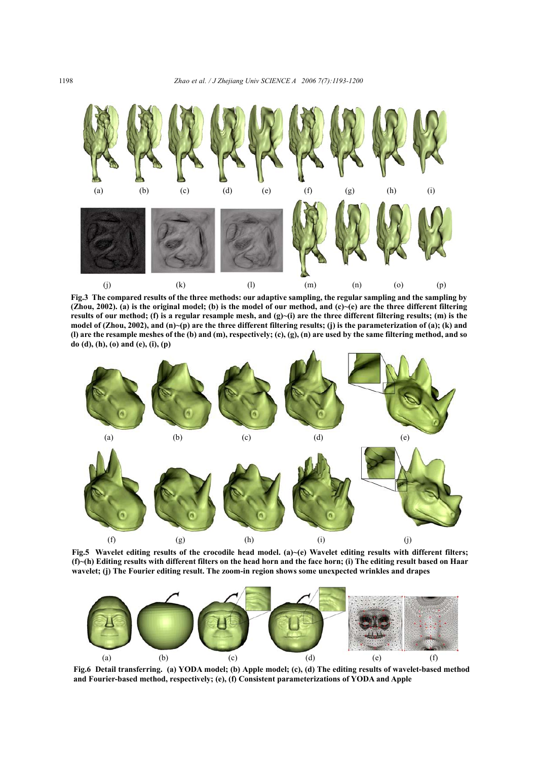

**Fig.3 The compared results of the three methods: our adaptive sampling, the regular sampling and the sampling by (Zhou, 2002). (a) is the original model; (b) is the model of our method, and (c)~(e) are the three different filtering**  results of our method; (f) is a regular resample mesh, and  $(g)$   $\sim$  (i) are the three different filtering results; (m) is the **model of (Zhou, 2002), and (n)~(p) are the three different filtering results; (j) is the parameterization of (a); (k) and (l) are the resample meshes of the (b) and (m), respectively; (c), (g), (n) are used by the same filtering method, and so do (d), (h), (o) and (e), (i), (p)** 



**Fig.5 Wavelet editing results of the crocodile head model. (a)~(e) Wavelet editing results with different filters; (f)~(h) Editing results with different filters on the head horn and the face horn; (i) The editing result based on Haar wavelet; (j) The Fourier editing result. The zoom-in region shows some unexpected wrinkles and drapes** 



**Fig.6 Detail transferring. (a) YODA model; (b) Apple model; (c), (d) The editing results of wavelet-based method and Fourier-based method, respectively; (e), (f) Consistent parameterizations of YODA and Apple**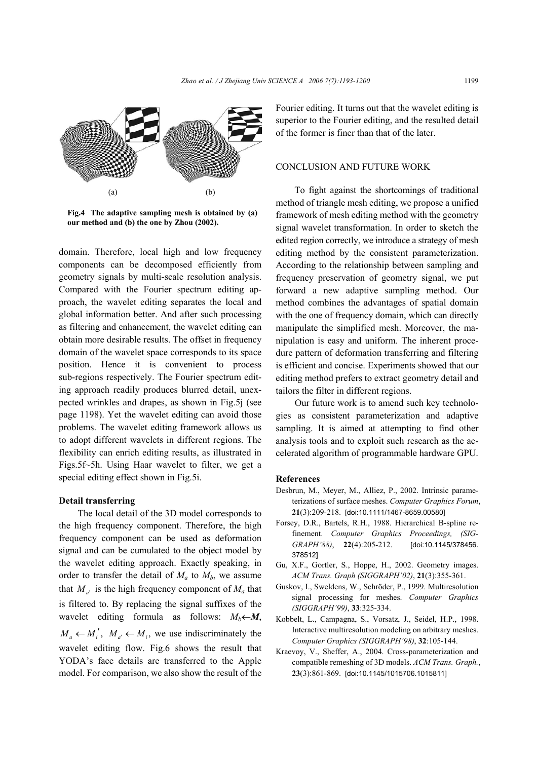

**Fig.4 The adaptive sampling mesh is obtained by (a) our method and (b) the one by Zhou (2002).**

domain. Therefore, local high and low frequency components can be decomposed efficiently from geometry signals by multi-scale resolution analysis. Compared with the Fourier spectrum editing approach, the wavelet editing separates the local and global information better. And after such processing as filtering and enhancement, the wavelet editing can obtain more desirable results. The offset in frequency domain of the wavelet space corresponds to its space position. Hence it is convenient to process sub-regions respectively. The Fourier spectrum editing approach readily produces blurred detail, unexpected wrinkles and drapes, as shown in Fig.5j (see page 1198). Yet the wavelet editing can avoid those problems. The wavelet editing framework allows us to adopt different wavelets in different regions. The flexibility can enrich editing results, as illustrated in Figs.5f~5h. Using Haar wavelet to filter, we get a special editing effect shown in Fig.5i.

#### **Detail transferring**

The local detail of the 3D model corresponds to the high frequency component. Therefore, the high frequency component can be used as deformation signal and can be cumulated to the object model by the wavelet editing approach. Exactly speaking, in order to transfer the detail of  $M_a$  to  $M_b$ , we assume that  $M_{a'}$  is the high frequency component of  $M_a$  that is filtered to. By replacing the signal suffixes of the wavelet editing formula as follows:  $M_b \leftarrow M$ ,  $M_a \leftarrow M'_i$ ,  $M_{a'} \leftarrow M_i$ , we use indiscriminately the wavelet editing flow. Fig.6 shows the result that YODA's face details are transferred to the Apple model. For comparison, we also show the result of the Fourier editing. It turns out that the wavelet editing is superior to the Fourier editing, and the resulted detail of the former is finer than that of the later.

### CONCLUSION AND FUTURE WORK

To fight against the shortcomings of traditional method of triangle mesh editing, we propose a unified framework of mesh editing method with the geometry signal wavelet transformation. In order to sketch the edited region correctly, we introduce a strategy of mesh editing method by the consistent parameterization. According to the relationship between sampling and frequency preservation of geometry signal, we put forward a new adaptive sampling method. Our method combines the advantages of spatial domain with the one of frequency domain, which can directly manipulate the simplified mesh. Moreover, the manipulation is easy and uniform. The inherent procedure pattern of deformation transferring and filtering is efficient and concise. Experiments showed that our editing method prefers to extract geometry detail and tailors the filter in different regions.

Our future work is to amend such key technologies as consistent parameterization and adaptive sampling. It is aimed at attempting to find other analysis tools and to exploit such research as the accelerated algorithm of programmable hardware GPU.

## **References**

- Desbrun, M., Meyer, M., Alliez, P., 2002. Intrinsic parameterizations of surface meshes. *Computer Graphics Forum*, **21**(3):209-218. [doi:10.1111/1467-8659.00580]
- Forsey, D.R., Bartels, R.H., 1988. Hierarchical B-spline refinement. *Computer Graphics Proceedings, (SIG-GRAPH'88)*, **22**(4):205-212. [doi:10.1145/378456. 378512]
- Gu, X.F., Gortler, S., Hoppe, H., 2002. Geometry images. *ACM Trans. Graph (SIGGRAPH'02)*, **21**(3):355-361.
- Guskov, I., Sweldens, W., Schröder, P., 1999. Multiresolution signal processing for meshes. *Computer Graphics (SIGGRAPH'99)*, **33**:325-334.
- Kobbelt, L., Campagna, S., Vorsatz, J., Seidel, H.P., 1998. Interactive multiresolution modeling on arbitrary meshes. *Computer Graphics (SIGGRAPH'98)*, **32**:105-144.
- Kraevoy, V., Sheffer, A., 2004. Cross-parameterization and compatible remeshing of 3D models. *ACM Trans. Graph.*, **23**(3):861-869. [doi:10.1145/1015706.1015811]